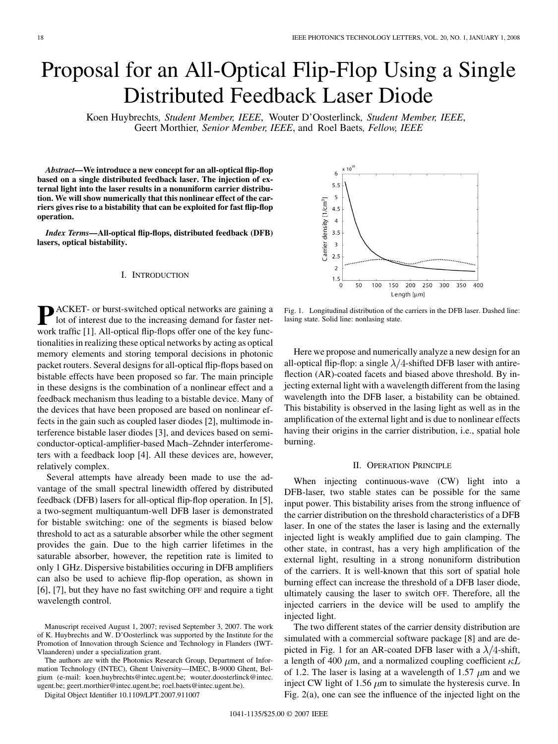# Proposal for an All-Optical Flip-Flop Using a Single Distributed Feedback Laser Diode

Koen Huybrechts*, Student Member, IEEE*, Wouter D'Oosterlinck*, Student Member, IEEE*, Geert Morthier*, Senior Member, IEEE*, and Roel Baets*, Fellow, IEEE*

*Abstract—***We introduce a new concept for an all-optical flip-flop based on a single distributed feedback laser. The injection of external light into the laser results in a nonuniform carrier distribution. We will show numerically that this nonlinear effect of the carriers gives rise to a bistability that can be exploited for fast flip-flop operation.**

*Index Terms—***All-optical flip-flops, distributed feedback (DFB) lasers, optical bistability.**

#### I. INTRODUCTION

**P** ACKET- or burst-switched optical networks are gaining a<br>lot of interest due to the increasing demand for faster net-<br>work traffic [1]. All optical flip flope offer are of the low func work traffic [1]. All-optical flip-flops offer one of the key functionalities in realizing these optical networks by acting as optical memory elements and storing temporal decisions in photonic packet routers. Several designs for all-optical flip-flops based on bistable effects have been proposed so far. The main principle in these designs is the combination of a nonlinear effect and a feedback mechanism thus leading to a bistable device. Many of the devices that have been proposed are based on nonlinear effects in the gain such as coupled laser diodes [2], multimode interference bistable laser diodes [3], and devices based on semiconductor-optical-amplifier-based Mach–Zehnder interferometers with a feedback loop [4]. All these devices are, however, relatively complex.

Several attempts have already been made to use the advantage of the small spectral linewidth offered by distributed feedback (DFB) lasers for all-optical flip-flop operation. In [5], a two-segment multiquantum-well DFB laser is demonstrated for bistable switching: one of the segments is biased below threshold to act as a saturable absorber while the other segment provides the gain. Due to the high carrier lifetimes in the saturable absorber, however, the repetition rate is limited to only 1 GHz. Dispersive bistabilities occuring in DFB amplifiers can also be used to achieve flip-flop operation, as shown in [6], [7], but they have no fast switching OFF and require a tight wavelength control.

The authors are with the Photonics Research Group, Department of Information Technology (INTEC), Ghent University—IMEC, B-9000 Ghent, Belgium (e-mail: koen.huybrechts@intec.ugent.be; wouter.doosterlinck@intec. ugent.be; geert.morthier@intec.ugent.be; roel.baets@intec.ugent.be).

Digital Object Identifier 10.1109/LPT.2007.911007



Fig. 1. Longitudinal distribution of the carriers in the DFB laser. Dashed line: lasing state. Solid line: nonlasing state.

Here we propose and numerically analyze a new design for an all-optical flip-flop: a single  $\lambda/4$ -shifted DFB laser with antireflection (AR)-coated facets and biased above threshold. By injecting external light with a wavelength different from the lasing wavelength into the DFB laser, a bistability can be obtained. This bistability is observed in the lasing light as well as in the amplification of the external light and is due to nonlinear effects having their origins in the carrier distribution, i.e., spatial hole burning.

#### II. OPERATION PRINCIPLE

When injecting continuous-wave (CW) light into a DFB-laser, two stable states can be possible for the same input power. This bistability arises from the strong influence of the carrier distribution on the threshold characteristics of a DFB laser. In one of the states the laser is lasing and the externally injected light is weakly amplified due to gain clamping. The other state, in contrast, has a very high amplification of the external light, resulting in a strong nonuniform distribution of the carriers. It is well-known that this sort of spatial hole burning effect can increase the threshold of a DFB laser diode, ultimately causing the laser to switch OFF. Therefore, all the injected carriers in the device will be used to amplify the injected light.

The two different states of the carrier density distribution are simulated with a commercial software package [8] and are depicted in Fig. 1 for an AR-coated DFB laser with a  $\lambda/4$ -shift, a length of 400  $\mu$ m, and a normalized coupling coefficient  $\kappa L$ of 1.2. The laser is lasing at a wavelength of 1.57  $\mu$ m and we inject CW light of 1.56  $\mu$ m to simulate the hysteresis curve. In Fig. 2(a), one can see the influence of the injected light on the

Manuscript received August 1, 2007; revised September 3, 2007. The work of K. Huybrechts and W. D'Oosterlinck was supported by the Institute for the Promotion of Innovation through Science and Technology in Flanders (IWT-Vlaanderen) under a specialization grant.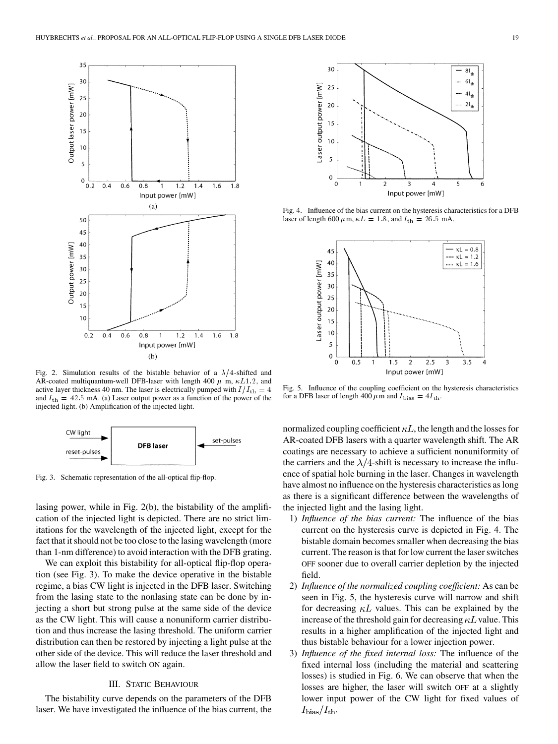

Fig. 2. Simulation results of the bistable behavior of a  $\lambda/4$ -shifted and AR-coated multiquantum-well DFB-laser with length 400  $\mu$  m,  $\kappa L1.2$ , and active layer thickness 40 nm. The laser is electrically pumped with  $I/I_{\text{th}} = 4$ and  $I_{\text{th}} = 42.5 \text{ mA}$ . (a) Laser output power as a function of the power of the injected light. (b) Amplification of the injected light.



Fig. 3. Schematic representation of the all-optical flip-flop.

lasing power, while in Fig. 2(b), the bistability of the amplification of the injected light is depicted. There are no strict limitations for the wavelength of the injected light, except for the fact that it should not be too close to the lasing wavelength (more than 1-nm difference) to avoid interaction with the DFB grating.

We can exploit this bistability for all-optical flip-flop operation (see Fig. 3). To make the device operative in the bistable regime, a bias CW light is injected in the DFB laser. Switching from the lasing state to the nonlasing state can be done by injecting a short but strong pulse at the same side of the device as the CW light. This will cause a nonuniform carrier distribution and thus increase the lasing threshold. The uniform carrier distribution can then be restored by injecting a light pulse at the other side of the device. This will reduce the laser threshold and allow the laser field to switch ON again.

#### III. STATIC BEHAVIOUR

The bistability curve depends on the parameters of the DFB laser. We have investigated the influence of the bias current, the



Fig. 4. Influence of the bias current on the hysteresis characteristics for a DFB laser of length 600  $\mu$ m,  $\kappa L = 1.8$ , and  $I_{\text{th}} = 26.5$  mA.



Fig. 5. Influence of the coupling coefficient on the hysteresis characteristics for a DFB laser of length 400  $\mu$ m and  $I_{\text{bias}} = 4I_{\text{th}}$ .

normalized coupling coefficient  $\kappa L$ , the length and the losses for AR-coated DFB lasers with a quarter wavelength shift. The AR coatings are necessary to achieve a sufficient nonuniformity of the carriers and the  $\lambda/4$ -shift is necessary to increase the influence of spatial hole burning in the laser. Changes in wavelength have almost no influence on the hysteresis characteristics as long as there is a significant difference between the wavelengths of the injected light and the lasing light.

- 1) *Influence of the bias current:* The influence of the bias current on the hysteresis curve is depicted in Fig. 4. The bistable domain becomes smaller when decreasing the bias current. The reason is that for low current the laser switches OFF sooner due to overall carrier depletion by the injected field.
- 2) *Influence of the normalized coupling coefficient:* As can be seen in Fig. 5, the hysteresis curve will narrow and shift for decreasing  $\kappa L$  values. This can be explained by the increase of the threshold gain for decreasing  $\kappa L$  value. This results in a higher amplification of the injected light and thus bistable behaviour for a lower injection power.
- 3) *Influence of the fixed internal loss:* The influence of the fixed internal loss (including the material and scattering losses) is studied in Fig. 6. We can observe that when the losses are higher, the laser will switch OFF at a slightly lower input power of the CW light for fixed values of  $I_{\rm bias}/I_{\rm th}$ .